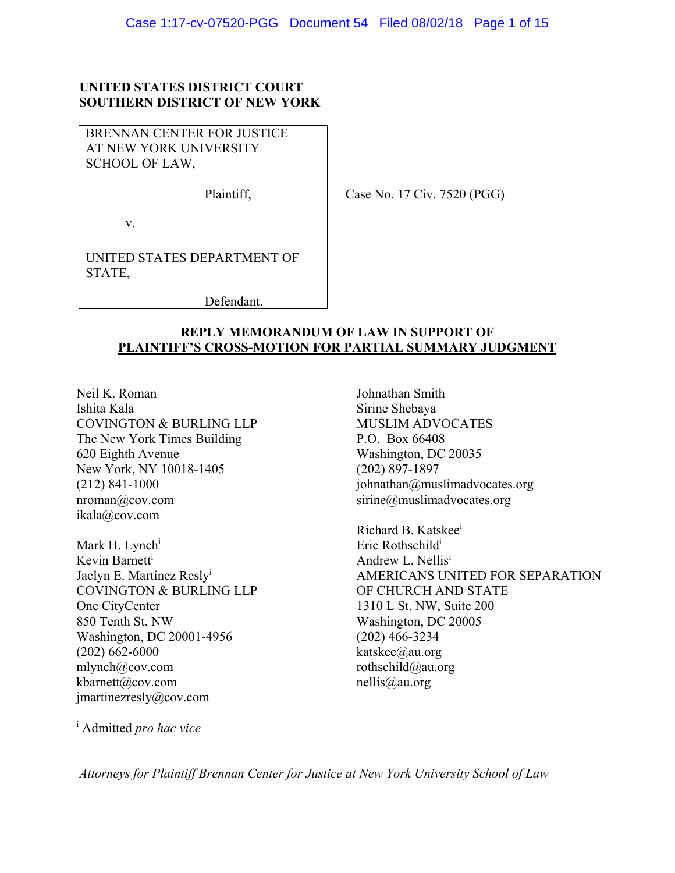## **UNITED STATES DISTRICT COURT SOUTHERN DISTRICT OF NEW YORK**

BRENNAN CENTER FOR JUSTICE AT NEW YORK UNIVERSITY SCHOOL OF LAW,

Plaintiff,

Case No. 17 Civ. 7520 (PGG)

v.

UNITED STATES DEPARTMENT OF STATE,

Defendant.

## **REPLY MEMORANDUM OF LAW IN SUPPORT OF PLAINTIFF'S CROSS-MOTION FOR PARTIAL SUMMARY JUDGMENT**

Neil K. Roman Ishita Kala COVINGTON & BURLING LLP The New York Times Building 620 Eighth Avenue New York, NY 10018-1405 (212) 841-1000 nroman@cov.com ikala@cov.com

Mark H. Lynch<sup>i</sup> Kevin Barnetti Jaclyn E. Martínez Reslyi COVINGTON & BURLING LLP One CityCenter 850 Tenth St. NW Washington, DC 20001-4956 (202) 662-6000 mlynch@cov.com kbarnett@cov.com jmartinezresly@cov.com

Johnathan Smith Sirine Shebaya MUSLIM ADVOCATES P.O. Box 66408 Washington, DC 20035 (202) 897-1897 johnathan@muslimadvocates.org sirine@muslimadvocates.org

Richard B. Katskee<sup>i</sup> Eric Rothschildi Andrew L. Nellisi AMERICANS UNITED FOR SEPARATION OF CHURCH AND STATE 1310 L St. NW, Suite 200 Washington, DC 20005 (202) 466-3234 katskee@au.org rothschild@au.org nellis@au.org

i Admitted *pro hac vice*

*Attorneys for Plaintiff Brennan Center for Justice at New York University School of Law*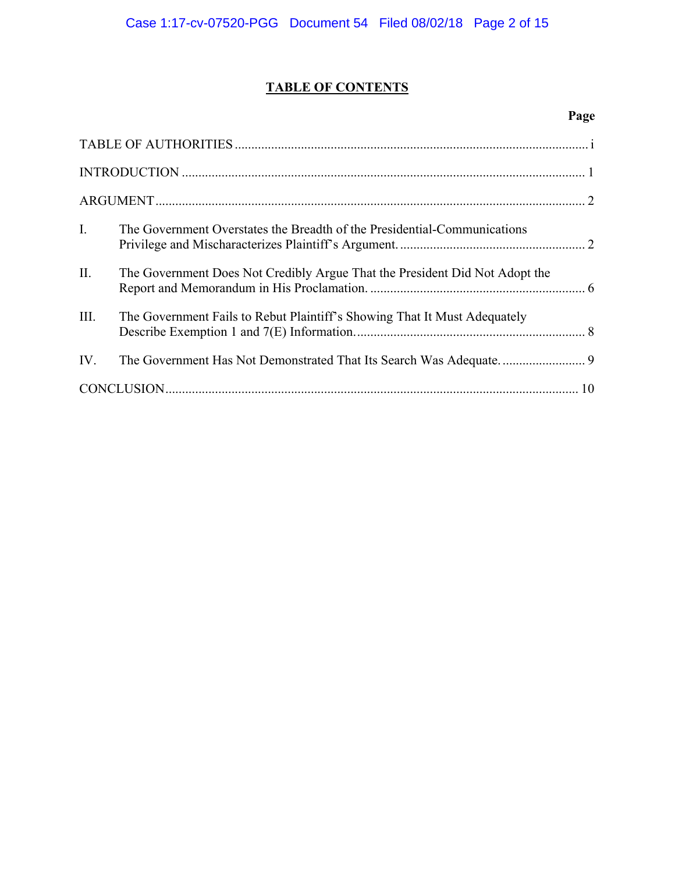# **TABLE OF CONTENTS**

# **Page**

| $\mathbf{I}$ . | The Government Overstates the Breadth of the Presidential-Communications    |  |
|----------------|-----------------------------------------------------------------------------|--|
| II.            | The Government Does Not Credibly Argue That the President Did Not Adopt the |  |
| III.           | The Government Fails to Rebut Plaintiff's Showing That It Must Adequately   |  |
| IV.            |                                                                             |  |
|                |                                                                             |  |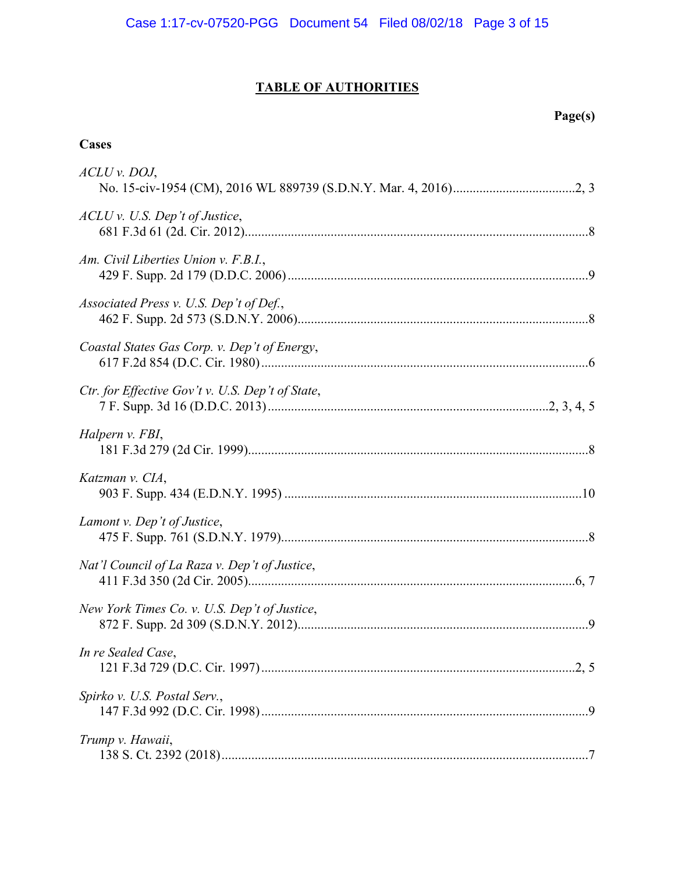# **TABLE OF AUTHORITIES**

# **Page(s)**

# **Cases**

| ACLU v. DOJ,                                     |
|--------------------------------------------------|
| $ACLU$ v. U.S. Dep't of Justice,                 |
| Am. Civil Liberties Union v. F.B.I.,             |
| Associated Press v. U.S. Dep't of Def.,          |
| Coastal States Gas Corp. v. Dep't of Energy,     |
| Ctr. for Effective Gov't v. U.S. Dep't of State, |
| Halpern v. FBI,                                  |
| Katzman v. CIA,                                  |
| Lamont v. Dep't of Justice,                      |
| Nat'l Council of La Raza v. Dep't of Justice,    |
| New York Times Co. v. U.S. Dep't of Justice,     |
| In re Sealed Case,                               |
| Spirko v. U.S. Postal Serv.,                     |
| Trump v. Hawaii,                                 |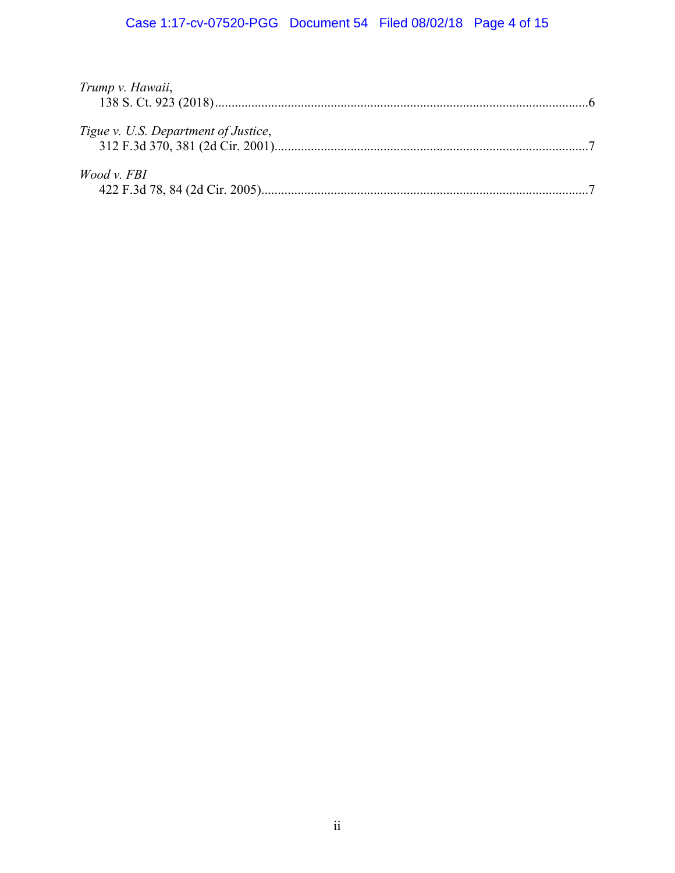# Case 1:17-cv-07520-PGG Document 54 Filed 08/02/18 Page 4 of 15

| Trump v. Hawaii,                     |  |
|--------------------------------------|--|
|                                      |  |
|                                      |  |
| Tigue v. U.S. Department of Justice, |  |
|                                      |  |
|                                      |  |
| Wood v. FBI                          |  |
|                                      |  |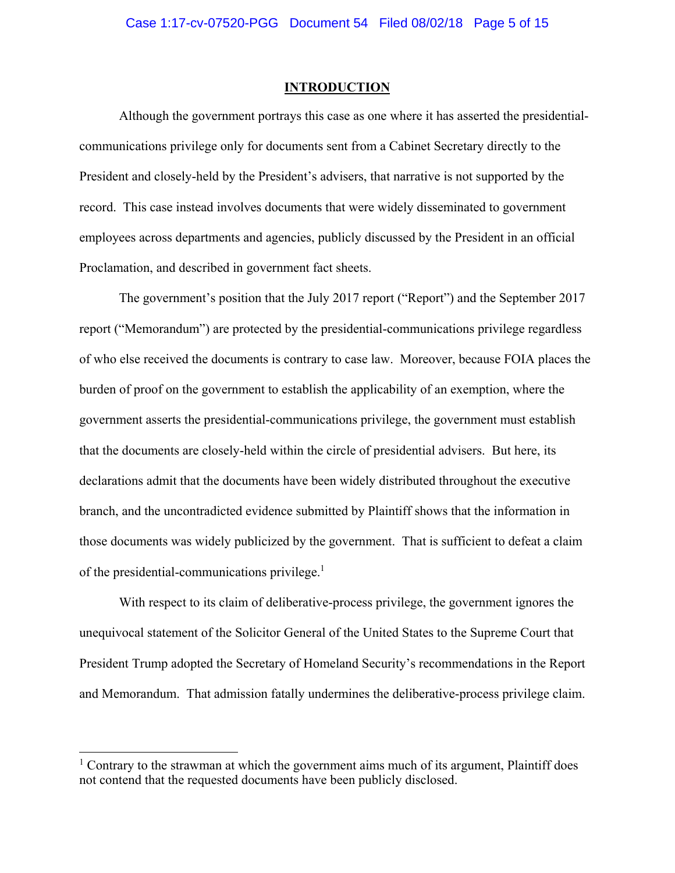#### **INTRODUCTION**

Although the government portrays this case as one where it has asserted the presidentialcommunications privilege only for documents sent from a Cabinet Secretary directly to the President and closely-held by the President's advisers, that narrative is not supported by the record. This case instead involves documents that were widely disseminated to government employees across departments and agencies, publicly discussed by the President in an official Proclamation, and described in government fact sheets.

The government's position that the July 2017 report ("Report") and the September 2017 report ("Memorandum") are protected by the presidential-communications privilege regardless of who else received the documents is contrary to case law. Moreover, because FOIA places the burden of proof on the government to establish the applicability of an exemption, where the government asserts the presidential-communications privilege, the government must establish that the documents are closely-held within the circle of presidential advisers. But here, its declarations admit that the documents have been widely distributed throughout the executive branch, and the uncontradicted evidence submitted by Plaintiff shows that the information in those documents was widely publicized by the government. That is sufficient to defeat a claim of the presidential-communications privilege. $<sup>1</sup>$ </sup>

With respect to its claim of deliberative-process privilege, the government ignores the unequivocal statement of the Solicitor General of the United States to the Supreme Court that President Trump adopted the Secretary of Homeland Security's recommendations in the Report and Memorandum. That admission fatally undermines the deliberative-process privilege claim.

 $1$  Contrary to the strawman at which the government aims much of its argument, Plaintiff does not contend that the requested documents have been publicly disclosed.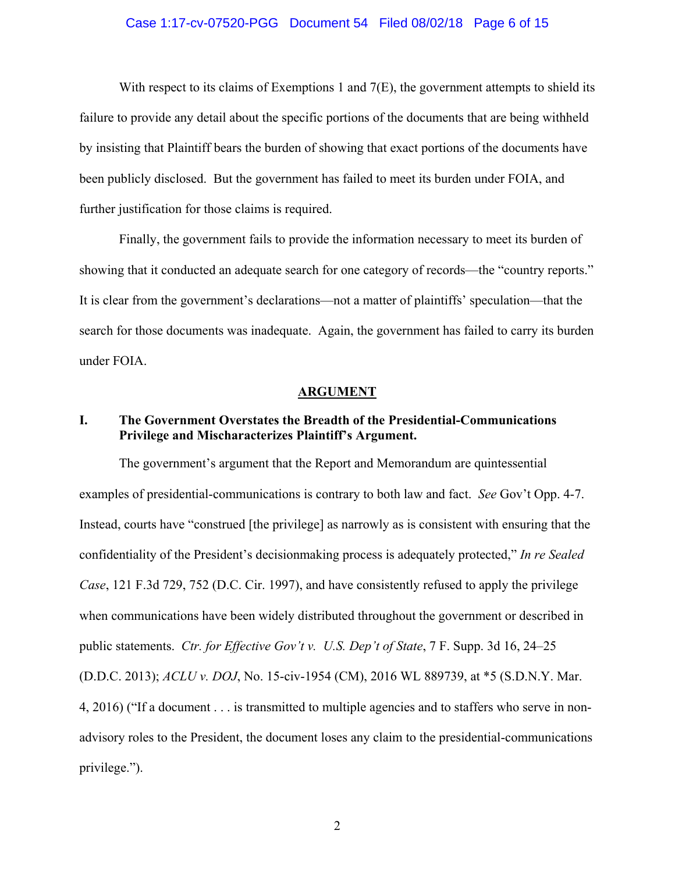#### Case 1:17-cv-07520-PGG Document 54 Filed 08/02/18 Page 6 of 15

With respect to its claims of Exemptions 1 and 7(E), the government attempts to shield its failure to provide any detail about the specific portions of the documents that are being withheld by insisting that Plaintiff bears the burden of showing that exact portions of the documents have been publicly disclosed. But the government has failed to meet its burden under FOIA, and further justification for those claims is required.

Finally, the government fails to provide the information necessary to meet its burden of showing that it conducted an adequate search for one category of records—the "country reports." It is clear from the government's declarations—not a matter of plaintiffs' speculation—that the search for those documents was inadequate. Again, the government has failed to carry its burden under FOIA.

#### **ARGUMENT**

## **I. The Government Overstates the Breadth of the Presidential-Communications Privilege and Mischaracterizes Plaintiff's Argument.**

The government's argument that the Report and Memorandum are quintessential examples of presidential-communications is contrary to both law and fact. *See* Gov't Opp. 4-7. Instead, courts have "construed [the privilege] as narrowly as is consistent with ensuring that the confidentiality of the President's decisionmaking process is adequately protected," *In re Sealed Case*, 121 F.3d 729, 752 (D.C. Cir. 1997), and have consistently refused to apply the privilege when communications have been widely distributed throughout the government or described in public statements. *Ctr. for Effective Gov't v. U.S. Dep't of State*, 7 F. Supp. 3d 16, 24–25 (D.D.C. 2013); *ACLU v. DOJ*, No. 15-civ-1954 (CM), 2016 WL 889739, at \*5 (S.D.N.Y. Mar. 4, 2016) ("If a document . . . is transmitted to multiple agencies and to staffers who serve in nonadvisory roles to the President, the document loses any claim to the presidential-communications privilege.").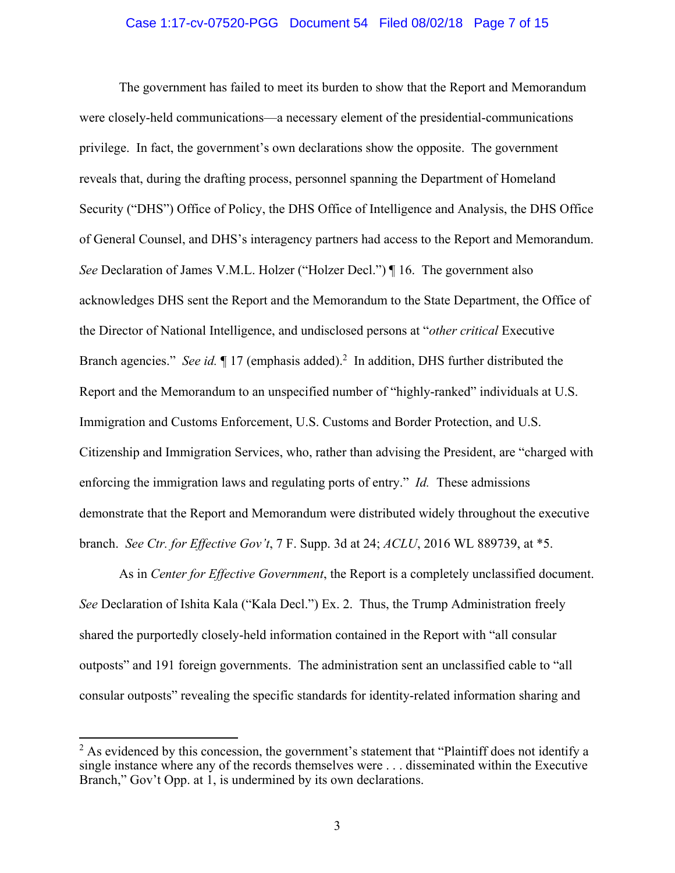#### Case 1:17-cv-07520-PGG Document 54 Filed 08/02/18 Page 7 of 15

The government has failed to meet its burden to show that the Report and Memorandum were closely-held communications—a necessary element of the presidential-communications privilege. In fact, the government's own declarations show the opposite. The government reveals that, during the drafting process, personnel spanning the Department of Homeland Security ("DHS") Office of Policy, the DHS Office of Intelligence and Analysis, the DHS Office of General Counsel, and DHS's interagency partners had access to the Report and Memorandum. *See* Declaration of James V.M.L. Holzer ("Holzer Decl.") | 16. The government also acknowledges DHS sent the Report and the Memorandum to the State Department, the Office of the Director of National Intelligence, and undisclosed persons at "*other critical* Executive Branch agencies." See id. 17 (emphasis added).<sup>2</sup> In addition, DHS further distributed the Report and the Memorandum to an unspecified number of "highly-ranked" individuals at U.S. Immigration and Customs Enforcement, U.S. Customs and Border Protection, and U.S. Citizenship and Immigration Services, who, rather than advising the President, are "charged with enforcing the immigration laws and regulating ports of entry." *Id.* These admissions demonstrate that the Report and Memorandum were distributed widely throughout the executive branch. *See Ctr. for Effective Gov't*, 7 F. Supp. 3d at 24; *ACLU*, 2016 WL 889739, at \*5.

As in *Center for Effective Government*, the Report is a completely unclassified document. *See* Declaration of Ishita Kala ("Kala Decl.") Ex. 2. Thus, the Trump Administration freely shared the purportedly closely-held information contained in the Report with "all consular outposts" and 191 foreign governments. The administration sent an unclassified cable to "all consular outposts" revealing the specific standards for identity-related information sharing and

 $2$  As evidenced by this concession, the government's statement that "Plaintiff does not identify a single instance where any of the records themselves were . . . disseminated within the Executive Branch," Gov't Opp. at 1, is undermined by its own declarations.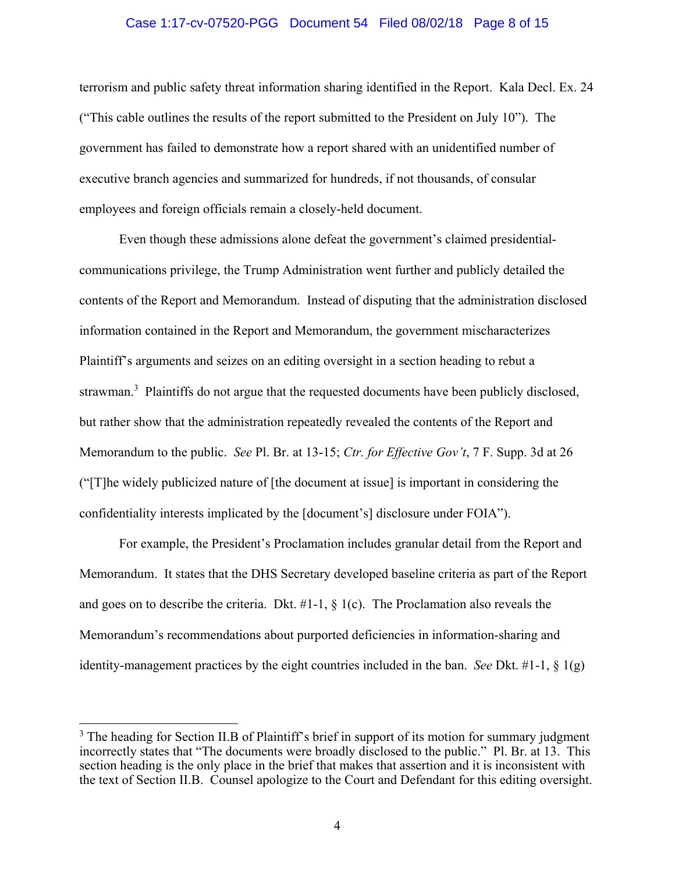#### Case 1:17-cv-07520-PGG Document 54 Filed 08/02/18 Page 8 of 15

terrorism and public safety threat information sharing identified in the Report. Kala Decl. Ex. 24 ("This cable outlines the results of the report submitted to the President on July 10"). The government has failed to demonstrate how a report shared with an unidentified number of executive branch agencies and summarized for hundreds, if not thousands, of consular employees and foreign officials remain a closely-held document.

Even though these admissions alone defeat the government's claimed presidentialcommunications privilege, the Trump Administration went further and publicly detailed the contents of the Report and Memorandum. Instead of disputing that the administration disclosed information contained in the Report and Memorandum, the government mischaracterizes Plaintiff's arguments and seizes on an editing oversight in a section heading to rebut a strawman.<sup>3</sup> Plaintiffs do not argue that the requested documents have been publicly disclosed, but rather show that the administration repeatedly revealed the contents of the Report and Memorandum to the public. *See* Pl. Br. at 13-15; *Ctr. for Effective Gov't*, 7 F. Supp. 3d at 26 ("[T]he widely publicized nature of [the document at issue] is important in considering the confidentiality interests implicated by the [document's] disclosure under FOIA").

For example, the President's Proclamation includes granular detail from the Report and Memorandum. It states that the DHS Secretary developed baseline criteria as part of the Report and goes on to describe the criteria. Dkt.  $#1-1$ ,  $§$  1(c). The Proclamation also reveals the Memorandum's recommendations about purported deficiencies in information-sharing and identity-management practices by the eight countries included in the ban. *See* Dkt. #1-1,  $\S$  1(g)

<sup>&</sup>lt;sup>3</sup> The heading for Section II.B of Plaintiff's brief in support of its motion for summary judgment incorrectly states that "The documents were broadly disclosed to the public." Pl. Br. at 13. This section heading is the only place in the brief that makes that assertion and it is inconsistent with the text of Section II.B. Counsel apologize to the Court and Defendant for this editing oversight.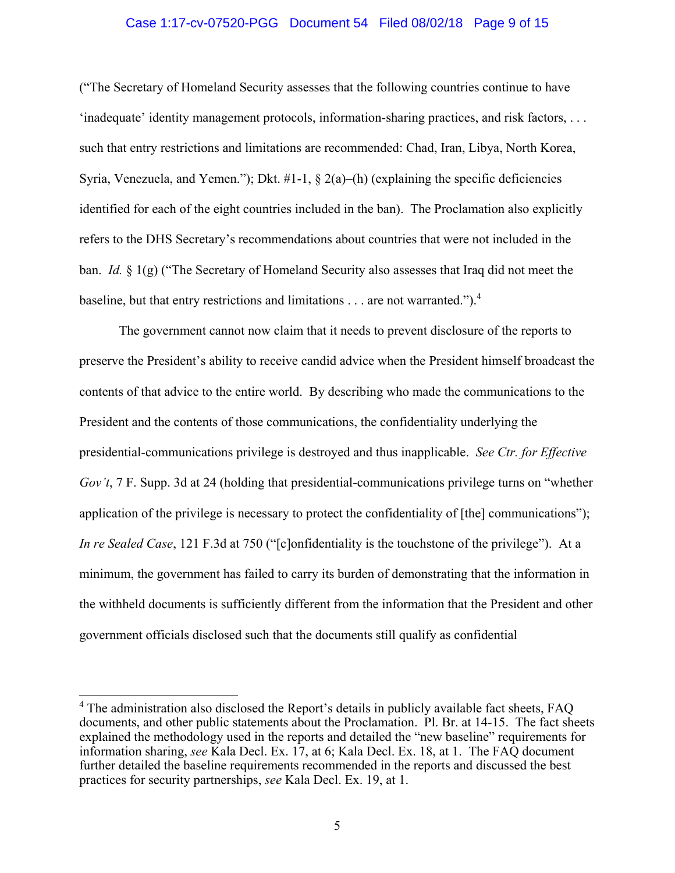#### Case 1:17-cv-07520-PGG Document 54 Filed 08/02/18 Page 9 of 15

("The Secretary of Homeland Security assesses that the following countries continue to have 'inadequate' identity management protocols, information-sharing practices, and risk factors, . . . such that entry restrictions and limitations are recommended: Chad, Iran, Libya, North Korea, Syria, Venezuela, and Yemen."); Dkt.  $\#1-1$ ,  $\frac{8}{9}$  2(a)–(h) (explaining the specific deficiencies identified for each of the eight countries included in the ban). The Proclamation also explicitly refers to the DHS Secretary's recommendations about countries that were not included in the ban. *Id.* § 1(g) ("The Secretary of Homeland Security also assesses that Iraq did not meet the baseline, but that entry restrictions and limitations  $\dots$  are not warranted.").<sup>4</sup>

The government cannot now claim that it needs to prevent disclosure of the reports to preserve the President's ability to receive candid advice when the President himself broadcast the contents of that advice to the entire world. By describing who made the communications to the President and the contents of those communications, the confidentiality underlying the presidential-communications privilege is destroyed and thus inapplicable. *See Ctr. for Effective Gov't*, 7 F. Supp. 3d at 24 (holding that presidential-communications privilege turns on "whether application of the privilege is necessary to protect the confidentiality of [the] communications"); *In re Sealed Case*, 121 F.3d at 750 ("[c]onfidentiality is the touchstone of the privilege"). At a minimum, the government has failed to carry its burden of demonstrating that the information in the withheld documents is sufficiently different from the information that the President and other government officials disclosed such that the documents still qualify as confidential

<sup>&</sup>lt;sup>4</sup> The administration also disclosed the Report's details in publicly available fact sheets, FAQ documents, and other public statements about the Proclamation. Pl. Br. at 14-15. The fact sheets explained the methodology used in the reports and detailed the "new baseline" requirements for information sharing, *see* Kala Decl. Ex. 17, at 6; Kala Decl. Ex. 18, at 1. The FAQ document further detailed the baseline requirements recommended in the reports and discussed the best practices for security partnerships, *see* Kala Decl. Ex. 19, at 1.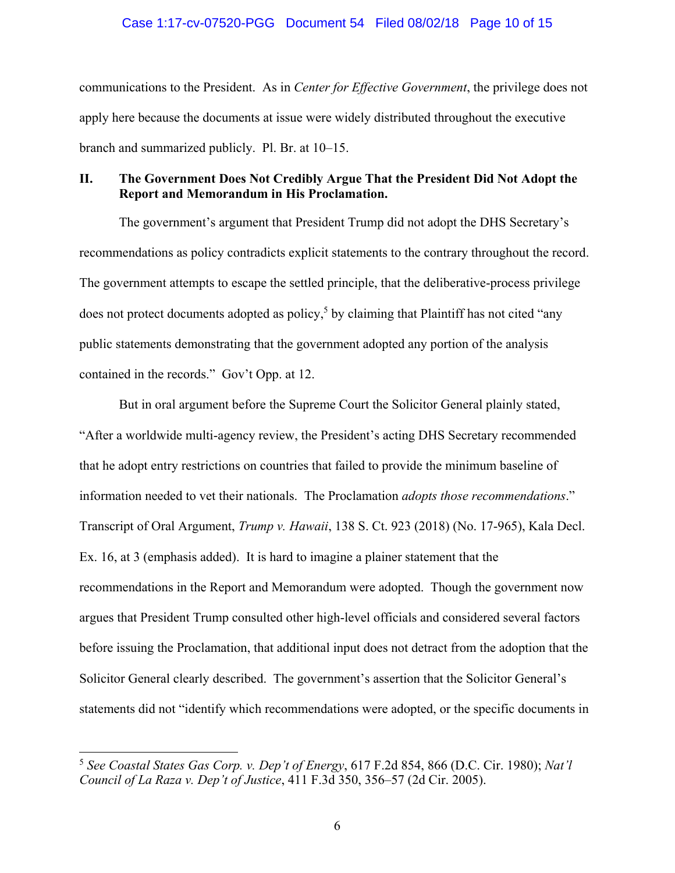#### Case 1:17-cv-07520-PGG Document 54 Filed 08/02/18 Page 10 of 15

communications to the President. As in *Center for Effective Government*, the privilege does not apply here because the documents at issue were widely distributed throughout the executive branch and summarized publicly. Pl. Br. at 10–15.

## **II. The Government Does Not Credibly Argue That the President Did Not Adopt the Report and Memorandum in His Proclamation.**

 The government's argument that President Trump did not adopt the DHS Secretary's recommendations as policy contradicts explicit statements to the contrary throughout the record. The government attempts to escape the settled principle, that the deliberative-process privilege does not protect documents adopted as policy,<sup>5</sup> by claiming that Plaintiff has not cited "any public statements demonstrating that the government adopted any portion of the analysis contained in the records." Gov't Opp. at 12.

 But in oral argument before the Supreme Court the Solicitor General plainly stated, "After a worldwide multi-agency review, the President's acting DHS Secretary recommended that he adopt entry restrictions on countries that failed to provide the minimum baseline of information needed to vet their nationals. The Proclamation *adopts those recommendations*." Transcript of Oral Argument, *Trump v. Hawaii*, 138 S. Ct. 923 (2018) (No. 17-965), Kala Decl. Ex. 16, at 3 (emphasis added). It is hard to imagine a plainer statement that the recommendations in the Report and Memorandum were adopted. Though the government now argues that President Trump consulted other high-level officials and considered several factors before issuing the Proclamation, that additional input does not detract from the adoption that the Solicitor General clearly described. The government's assertion that the Solicitor General's statements did not "identify which recommendations were adopted, or the specific documents in

1

<sup>5</sup> *See Coastal States Gas Corp. v. Dep't of Energy*, 617 F.2d 854, 866 (D.C. Cir. 1980); *Nat'l Council of La Raza v. Dep't of Justice*, 411 F.3d 350, 356–57 (2d Cir. 2005).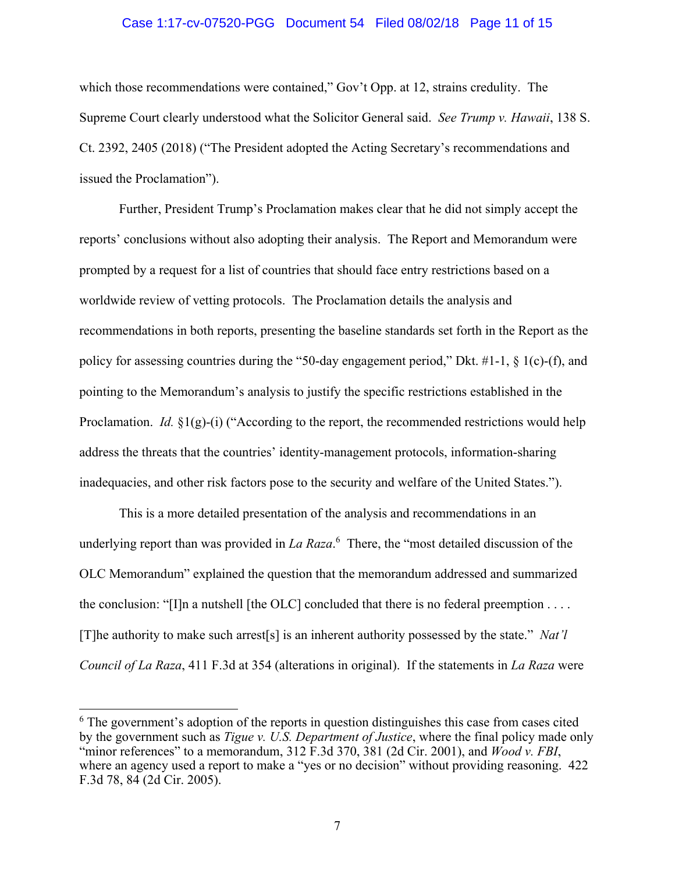#### Case 1:17-cv-07520-PGG Document 54 Filed 08/02/18 Page 11 of 15

which those recommendations were contained," Gov't Opp. at 12, strains credulity. The Supreme Court clearly understood what the Solicitor General said. *See Trump v. Hawaii*, 138 S. Ct. 2392, 2405 (2018) ("The President adopted the Acting Secretary's recommendations and issued the Proclamation").

Further, President Trump's Proclamation makes clear that he did not simply accept the reports' conclusions without also adopting their analysis. The Report and Memorandum were prompted by a request for a list of countries that should face entry restrictions based on a worldwide review of vetting protocols. The Proclamation details the analysis and recommendations in both reports, presenting the baseline standards set forth in the Report as the policy for assessing countries during the "50-day engagement period," Dkt. #1-1, § 1(c)-(f), and pointing to the Memorandum's analysis to justify the specific restrictions established in the Proclamation. *Id.*  $\S1(g)$ -(i) ("According to the report, the recommended restrictions would help address the threats that the countries' identity-management protocols, information-sharing inadequacies, and other risk factors pose to the security and welfare of the United States.").

This is a more detailed presentation of the analysis and recommendations in an underlying report than was provided in *La Raza*. 6 There, the "most detailed discussion of the OLC Memorandum" explained the question that the memorandum addressed and summarized the conclusion: "[I]n a nutshell [the OLC] concluded that there is no federal preemption  $\dots$ [T]he authority to make such arrest[s] is an inherent authority possessed by the state." *Nat'l Council of La Raza*, 411 F.3d at 354 (alterations in original). If the statements in *La Raza* were

1

<sup>&</sup>lt;sup>6</sup> The government's adoption of the reports in question distinguishes this case from cases cited by the government such as *Tigue v. U.S. Department of Justice*, where the final policy made only "minor references" to a memorandum, 312 F.3d 370, 381 (2d Cir. 2001), and *Wood v. FBI*, where an agency used a report to make a "yes or no decision" without providing reasoning. 422 F.3d 78, 84 (2d Cir. 2005).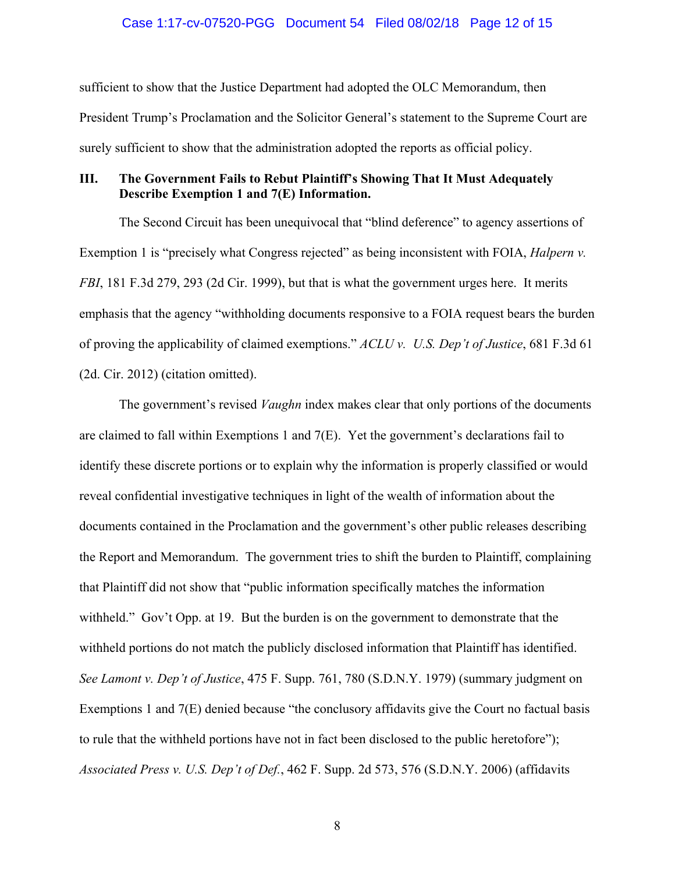sufficient to show that the Justice Department had adopted the OLC Memorandum, then President Trump's Proclamation and the Solicitor General's statement to the Supreme Court are surely sufficient to show that the administration adopted the reports as official policy.

## **III. The Government Fails to Rebut Plaintiff's Showing That It Must Adequately Describe Exemption 1 and 7(E) Information.**

The Second Circuit has been unequivocal that "blind deference" to agency assertions of Exemption 1 is "precisely what Congress rejected" as being inconsistent with FOIA, *Halpern v. FBI*, 181 F.3d 279, 293 (2d Cir. 1999), but that is what the government urges here. It merits emphasis that the agency "withholding documents responsive to a FOIA request bears the burden of proving the applicability of claimed exemptions." *ACLU v. U.S. Dep't of Justice*, 681 F.3d 61 (2d. Cir. 2012) (citation omitted).

The government's revised *Vaughn* index makes clear that only portions of the documents are claimed to fall within Exemptions 1 and  $7(E)$ . Yet the government's declarations fail to identify these discrete portions or to explain why the information is properly classified or would reveal confidential investigative techniques in light of the wealth of information about the documents contained in the Proclamation and the government's other public releases describing the Report and Memorandum. The government tries to shift the burden to Plaintiff, complaining that Plaintiff did not show that "public information specifically matches the information withheld." Gov't Opp. at 19. But the burden is on the government to demonstrate that the withheld portions do not match the publicly disclosed information that Plaintiff has identified. *See Lamont v. Dep't of Justice*, 475 F. Supp. 761, 780 (S.D.N.Y. 1979) (summary judgment on Exemptions 1 and 7(E) denied because "the conclusory affidavits give the Court no factual basis to rule that the withheld portions have not in fact been disclosed to the public heretofore"); *Associated Press v. U.S. Dep't of Def.*, 462 F. Supp. 2d 573, 576 (S.D.N.Y. 2006) (affidavits

8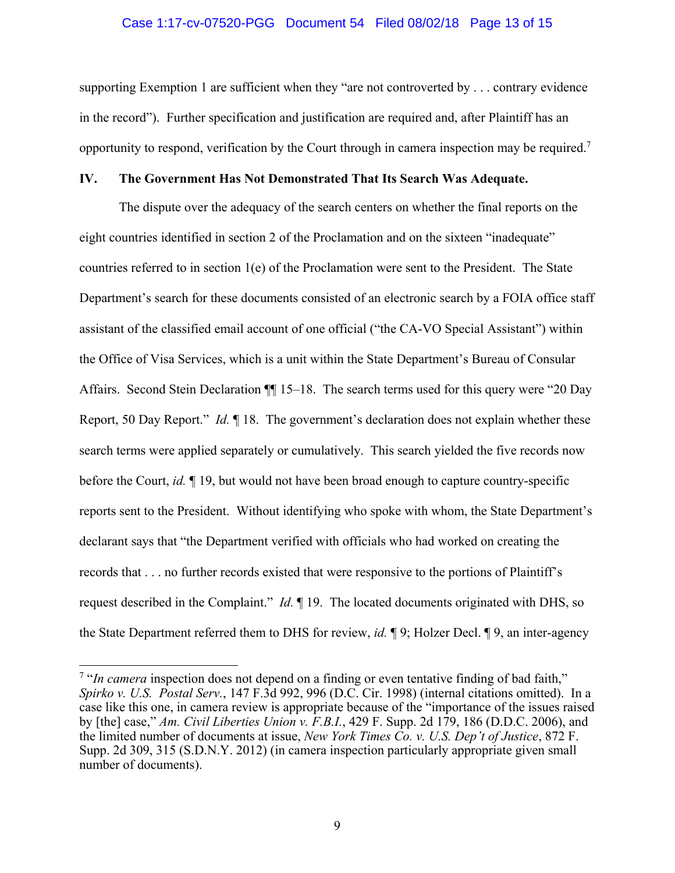## Case 1:17-cv-07520-PGG Document 54 Filed 08/02/18 Page 13 of 15

supporting Exemption 1 are sufficient when they "are not controverted by . . . contrary evidence in the record"). Further specification and justification are required and, after Plaintiff has an opportunity to respond, verification by the Court through in camera inspection may be required.7

## **IV. The Government Has Not Demonstrated That Its Search Was Adequate.**

The dispute over the adequacy of the search centers on whether the final reports on the eight countries identified in section 2 of the Proclamation and on the sixteen "inadequate" countries referred to in section 1(e) of the Proclamation were sent to the President. The State Department's search for these documents consisted of an electronic search by a FOIA office staff assistant of the classified email account of one official ("the CA-VO Special Assistant") within the Office of Visa Services, which is a unit within the State Department's Bureau of Consular Affairs. Second Stein Declaration  $\P\P$  15–18. The search terms used for this query were "20 Day Report, 50 Day Report." *Id.* ¶ 18. The government's declaration does not explain whether these search terms were applied separately or cumulatively. This search yielded the five records now before the Court, *id.* ¶ 19, but would not have been broad enough to capture country-specific reports sent to the President. Without identifying who spoke with whom, the State Department's declarant says that "the Department verified with officials who had worked on creating the records that . . . no further records existed that were responsive to the portions of Plaintiff's request described in the Complaint." *Id.* ¶ 19. The located documents originated with DHS, so the State Department referred them to DHS for review, *id.* ¶ 9; Holzer Decl. ¶ 9, an inter-agency

<sup>&</sup>lt;sup>7</sup> "In camera inspection does not depend on a finding or even tentative finding of bad faith," *Spirko v. U.S. Postal Serv.*, 147 F.3d 992, 996 (D.C. Cir. 1998) (internal citations omitted). In a case like this one, in camera review is appropriate because of the "importance of the issues raised by [the] case," *Am. Civil Liberties Union v. F.B.I.*, 429 F. Supp. 2d 179, 186 (D.D.C. 2006), and the limited number of documents at issue, *New York Times Co. v. U.S. Dep't of Justice*, 872 F. Supp. 2d 309, 315 (S.D.N.Y. 2012) (in camera inspection particularly appropriate given small number of documents).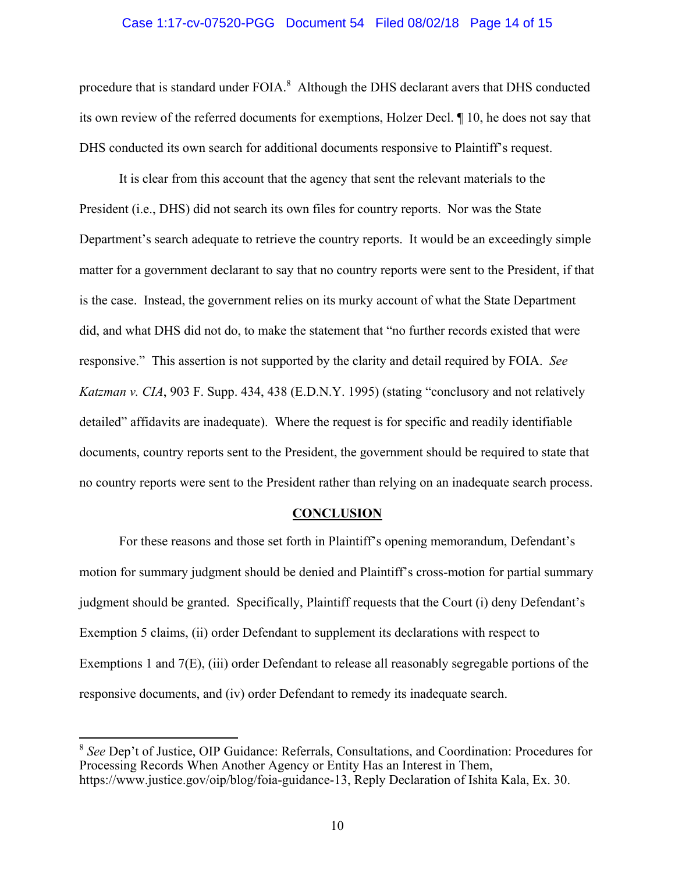#### Case 1:17-cv-07520-PGG Document 54 Filed 08/02/18 Page 14 of 15

procedure that is standard under  $FOLA$ <sup>8</sup> Although the DHS declarant avers that DHS conducted its own review of the referred documents for exemptions, Holzer Decl. ¶ 10, he does not say that DHS conducted its own search for additional documents responsive to Plaintiff's request.

It is clear from this account that the agency that sent the relevant materials to the President (i.e., DHS) did not search its own files for country reports. Nor was the State Department's search adequate to retrieve the country reports. It would be an exceedingly simple matter for a government declarant to say that no country reports were sent to the President, if that is the case. Instead, the government relies on its murky account of what the State Department did, and what DHS did not do, to make the statement that "no further records existed that were responsive." This assertion is not supported by the clarity and detail required by FOIA. *See Katzman v. CIA*, 903 F. Supp. 434, 438 (E.D.N.Y. 1995) (stating "conclusory and not relatively detailed" affidavits are inadequate). Where the request is for specific and readily identifiable documents, country reports sent to the President, the government should be required to state that no country reports were sent to the President rather than relying on an inadequate search process.

#### **CONCLUSION**

For these reasons and those set forth in Plaintiff's opening memorandum, Defendant's motion for summary judgment should be denied and Plaintiff's cross-motion for partial summary judgment should be granted. Specifically, Plaintiff requests that the Court (i) deny Defendant's Exemption 5 claims, (ii) order Defendant to supplement its declarations with respect to Exemptions 1 and 7(E), (iii) order Defendant to release all reasonably segregable portions of the responsive documents, and (iv) order Defendant to remedy its inadequate search.

<sup>8</sup> *See* Dep't of Justice, OIP Guidance: Referrals, Consultations, and Coordination: Procedures for Processing Records When Another Agency or Entity Has an Interest in Them, https://www.justice.gov/oip/blog/foia-guidance-13, Reply Declaration of Ishita Kala, Ex. 30.